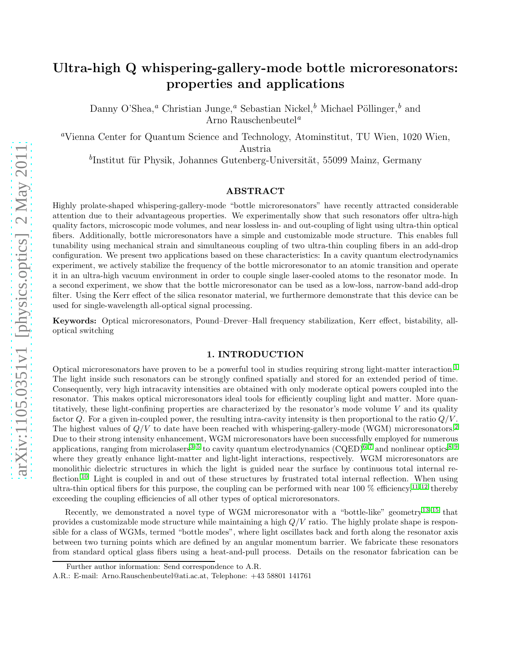# Ultra-high Q whispering-gallery-mode bottle microresonators: properties and applications

Danny O'Shea,<sup>a</sup> Christian Junge,<sup>a</sup> Sebastian Nickel,<sup>b</sup> Michael Pöllinger,<sup>b</sup> and Arno Rauschenbeutel<sup>a</sup>

<sup>a</sup>Vienna Center for Quantum Science and Technology, Atominstitut, TU Wien, 1020 Wien, Austria

<sup>b</sup>Institut für Physik, Johannes Gutenberg-Universität, 55099 Mainz, Germany

## ABSTRACT

Highly prolate-shaped whispering-gallery-mode "bottle microresonators" have recently attracted considerable attention due to their advantageous properties. We experimentally show that such resonators offer ultra-high quality factors, microscopic mode volumes, and near lossless in- and out-coupling of light using ultra-thin optical fibers. Additionally, bottle microresonators have a simple and customizable mode structure. This enables full tunability using mechanical strain and simultaneous coupling of two ultra-thin coupling fibers in an add-drop configuration. We present two applications based on these characteristics: In a cavity quantum electrodynamics experiment, we actively stabilize the frequency of the bottle microresonator to an atomic transition and operate it in an ultra-high vacuum environment in order to couple single laser-cooled atoms to the resonator mode. In a second experiment, we show that the bottle microresonator can be used as a low-loss, narrow-band add-drop filter. Using the Kerr effect of the silica resonator material, we furthermore demonstrate that this device can be used for single-wavelength all-optical signal processing.

<span id="page-0-0"></span>Keywords: Optical microresonators, Pound–Drever–Hall frequency stabilization, Kerr effect, bistability, alloptical switching

## 1. INTRODUCTION

Optical microresonators have proven to be a powerful tool in studies requiring strong light-matter interaction.[1](#page-9-0) The light inside such resonators can be strongly confined spatially and stored for an extended period of time. Consequently, very high intracavity intensities are obtained with only moderate optical powers coupled into the resonator. This makes optical microresonators ideal tools for efficiently coupling light and matter. More quantitatively, these light-confining properties are characterized by the resonator's mode volume V and its quality factor  $Q$ . For a given in-coupled power, the resulting intra-cavity intensity is then proportional to the ratio  $Q/V$ . The highest values of  $Q/V$  to date have been reached with whispering-gallery-mode (WGM) microresonators.<sup>[2](#page-9-1)</sup> Due to their strong intensity enhancement, WGM microresonators have been successfully employed for numerous applications, ranging from microlasers<sup>[3–](#page-9-2)[5](#page-9-3)</sup> to cavity quantum electrodynamics  $\text{(CQED)}^{6,7}$  $\text{(CQED)}^{6,7}$  $\text{(CQED)}^{6,7}$  and nonlinear optics<sup>[8,](#page-9-6)9</sup> where they greatly enhance light-matter and light-light interactions, respectively. WGM microresonators are monolithic dielectric structures in which the light is guided near the surface by continuous total internal re-flection.<sup>[10](#page-9-8)</sup> Light is coupled in and out of these structures by frustrated total internal reflection. When using ultra-thin optical fibers for this purpose, the coupling can be performed with near 100 % efficiency,<sup>[11,](#page-9-9)12</sup> thereby exceeding the coupling efficiencies of all other types of optical microresonators.

Recently, we demonstrated a novel type of WGM microresonator with a "bottle-like" geometry<sup>[13–](#page-9-11)[15](#page-10-0)</sup> that provides a customizable mode structure while maintaining a high Q/V ratio. The highly prolate shape is responsible for a class of WGMs, termed "bottle modes", where light oscillates back and forth along the resonator axis between two turning points which are defined by an angular momentum barrier. We fabricate these resonators from standard optical glass fibers using a heat-and-pull process. Details on the resonator fabrication can be

Further author information: Send correspondence to A.R.

A.R.: E-mail: Arno.Rauschenbeutel@ati.ac.at, Telephone: +43 58801 141761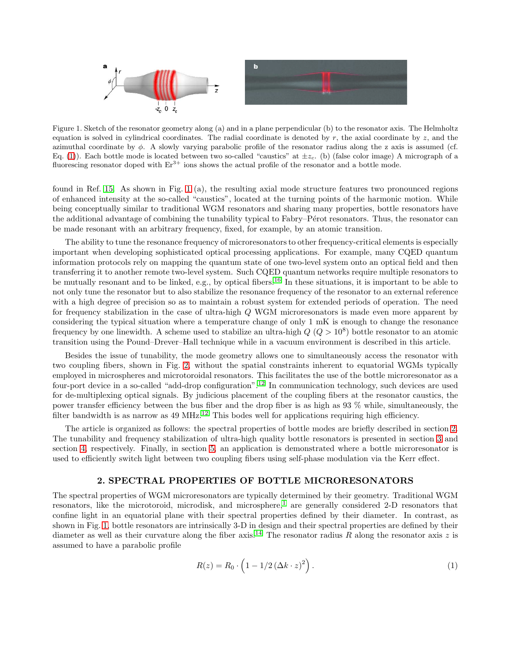

<span id="page-1-1"></span>Figure 1. Sketch of the resonator geometry along (a) and in a plane perpendicular (b) to the resonator axis. The Helmholtz equation is solved in cylindrical coordinates. The radial coordinate is denoted by  $r$ , the axial coordinate by  $z$ , and the azimuthal coordinate by  $\phi$ . A slowly varying parabolic profile of the resonator radius along the z axis is assumed (cf. Eq. [\(1\)](#page-1-0)). Each bottle mode is located between two so-called "caustics" at  $\pm z_c$ . (b) (false color image) A micrograph of a fluorescing resonator doped with  $Er^{3+}$  ions shows the actual profile of the resonator and a bottle mode.

found in Ref. [15.](#page-10-0) As shown in Fig. [1](#page-1-1) (a), the resulting axial mode structure features two pronounced regions of enhanced intensity at the so-called "caustics", located at the turning points of the harmonic motion. While being conceptually similar to traditional WGM resonators and sharing many properties, bottle resonators have the additional advantage of combining the tunability typical to Fabry–Pérot resonators. Thus, the resonator can be made resonant with an arbitrary frequency, fixed, for example, by an atomic transition.

The ability to tune the resonance frequency of microresonators to other frequency-critical elements is especially important when developing sophisticated optical processing applications. For example, many CQED quantum information protocols rely on mapping the quantum state of one two-level system onto an optical field and then transferring it to another remote two-level system. Such CQED quantum networks require multiple resonators to be mutually resonant and to be linked, e.g., by optical fibers.<sup>[16](#page-10-1)</sup> In these situations, it is important to be able to not only tune the resonator but to also stabilize the resonance frequency of the resonator to an external reference with a high degree of precision so as to maintain a robust system for extended periods of operation. The need for frequency stabilization in the case of ultra-high Q WGM microresonators is made even more apparent by considering the typical situation where a temperature change of only 1 mK is enough to change the resonance frequency by one linewidth. A scheme used to stabilize an ultra-high  $Q(Q>10^8)$  bottle resonator to an atomic transition using the Pound–Drever–Hall technique while in a vacuum environment is described in this article.

Besides the issue of tunability, the mode geometry allows one to simultaneously access the resonator with two coupling fibers, shown in Fig. [2,](#page-2-0) without the spatial constraints inherent to equatorial WGMs typically employed in microspheres and microtoroidal resonators. This facilitates the use of the bottle microresonator as a four-port device in a so-called "add-drop configuration".[12](#page-9-10) In communication technology, such devices are used for de-multiplexing optical signals. By judicious placement of the coupling fibers at the resonator caustics, the power transfer efficiency between the bus fiber and the drop fiber is as high as 93 % while, simultaneously, the filter bandwidth is as narrow as  $49 \text{ MHz}^{12}$  $49 \text{ MHz}^{12}$  $49 \text{ MHz}^{12}$ . This bodes well for applications requiring high efficiency.

The article is organized as follows: the spectral properties of bottle modes are briefly described in section [2.](#page-1-2) The tunability and frequency stabilization of ultra-high quality bottle resonators is presented in section [3](#page-3-0) and section [4,](#page-5-0) respectively. Finally, in section [5,](#page-7-0) an application is demonstrated where a bottle microresonator is used to efficiently switch light between two coupling fibers using self-phase modulation via the Kerr effect.

## 2. SPECTRAL PROPERTIES OF BOTTLE MICRORESONATORS

<span id="page-1-2"></span>The spectral properties of WGM microresonators are typically determined by their geometry. Traditional WGM resonators, like the microtoroid, microdisk, and microsphere,<sup>[1](#page-9-0)</sup> are generally considered 2-D resonators that confine light in an equatorial plane with their spectral properties defined by their diameter. In contrast, as shown in Fig. [1,](#page-1-1) bottle resonators are intrinsically 3-D in design and their spectral properties are defined by their diameter as well as their curvature along the fiber axis.<sup>[14](#page-9-12)</sup> The resonator radius R along the resonator axis z is assumed to have a parabolic profile

<span id="page-1-0"></span>
$$
R(z) = R_0 \cdot \left(1 - 1/2 \left(\Delta k \cdot z\right)^2\right). \tag{1}
$$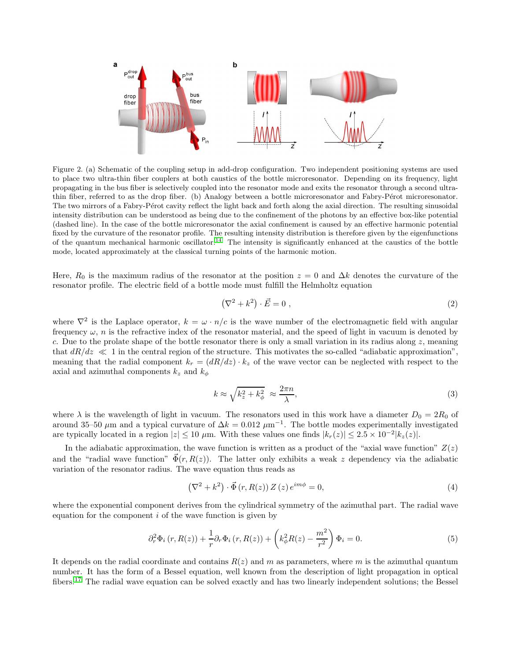

<span id="page-2-0"></span>Figure 2. (a) Schematic of the coupling setup in add-drop configuration. Two independent positioning systems are used to place two ultra-thin fiber couplers at both caustics of the bottle microresonator. Depending on its frequency, light propagating in the bus fiber is selectively coupled into the resonator mode and exits the resonator through a second ultrathin fiber, referred to as the drop fiber. (b) Analogy between a bottle microresonator and Fabry-Pérot microresonator. The two mirrors of a Fabry-Pérot cavity reflect the light back and forth along the axial direction. The resulting sinusoidal intensity distribution can be understood as being due to the confinement of the photons by an effective box-like potential (dashed line). In the case of the bottle microresonator the axial confinement is caused by an effective harmonic potential fixed by the curvature of the resonator profile. The resulting intensity distribution is therefore given by the eigenfunctions of the quantum mechanical harmonic oscillator.<sup>[14](#page-9-12)</sup> The intensity is significantly enhanced at the caustics of the bottle mode, located approximately at the classical turning points of the harmonic motion.

Here,  $R_0$  is the maximum radius of the resonator at the position  $z = 0$  and  $\Delta k$  denotes the curvature of the resonator profile. The electric field of a bottle mode must fulfill the Helmholtz equation

$$
(\nabla^2 + k^2) \cdot \vec{E} = 0 \tag{2}
$$

where  $\nabla^2$  is the Laplace operator,  $k = \omega \cdot n/c$  is the wave number of the electromagnetic field with angular frequency  $\omega$ , n is the refractive index of the resonator material, and the speed of light in vacuum is denoted by c. Due to the prolate shape of the bottle resonator there is only a small variation in its radius along  $z$ , meaning that  $dR/dz \ll 1$  in the central region of the structure. This motivates the so-called "adiabatic approximation", meaning that the radial component  $k_r = (dR/dz) \cdot k_z$  of the wave vector can be neglected with respect to the axial and azimuthal components  $k_z$  and  $k_\phi$ 

<span id="page-2-1"></span>
$$
k \approx \sqrt{k_z^2 + k_\phi^2} \approx \frac{2\pi n}{\lambda},\tag{3}
$$

where  $\lambda$  is the wavelength of light in vacuum. The resonators used in this work have a diameter  $D_0 = 2R_0$  of around 35–50  $\mu$ m and a typical curvature of  $\Delta k = 0.012 \ \mu m^{-1}$ . The bottle modes experimentally investigated are typically located in a region  $|z| \leq 10 \ \mu$ m. With these values one finds  $|k_r(z)| \leq 2.5 \times 10^{-2} |k_z(z)|$ .

In the adiabatic approximation, the wave function is written as a product of the "axial wave function"  $Z(z)$ and the "radial wave function"  $\vec{\Phi}(r, R(z))$ . The latter only exhibits a weak z dependency via the adiabatic variation of the resonator radius. The wave equation thus reads as

$$
\left(\nabla^2 + k^2\right) \cdot \vec{\Phi}\left(r, R(z)\right) Z\left(z\right) e^{im\phi} = 0,\tag{4}
$$

where the exponential component derives from the cylindrical symmetry of the azimuthal part. The radial wave equation for the component  $i$  of the wave function is given by

$$
\partial_r^2 \Phi_i (r, R(z)) + \frac{1}{r} \partial_r \Phi_i (r, R(z)) + \left( k_\phi^2 R(z) - \frac{m^2}{r^2} \right) \Phi_i = 0.
$$
 (5)

It depends on the radial coordinate and contains  $R(z)$  and m as parameters, where m is the azimuthal quantum number. It has the form of a Bessel equation, well known from the description of light propagation in optical fibers.[17](#page-10-2) The radial wave equation can be solved exactly and has two linearly independent solutions; the Bessel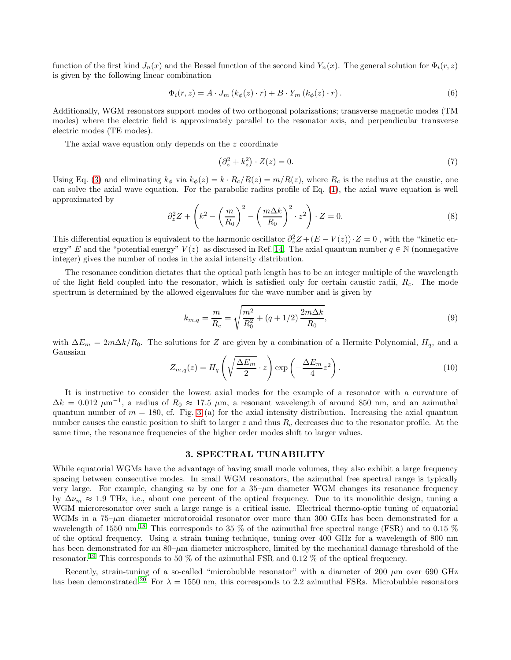function of the first kind  $J_n(x)$  and the Bessel function of the second kind  $Y_n(x)$ . The general solution for  $\Phi_i(r, z)$ is given by the following linear combination

$$
\Phi_i(r, z) = A \cdot J_m(k_\phi(z) \cdot r) + B \cdot Y_m(k_\phi(z) \cdot r).
$$
\n<sup>(6)</sup>

Additionally, WGM resonators support modes of two orthogonal polarizations; transverse magnetic modes (TM modes) where the electric field is approximately parallel to the resonator axis, and perpendicular transverse electric modes (TE modes).

The axial wave equation only depends on the z coordinate

$$
\left(\partial_z^2 + k_z^2\right) \cdot Z(z) = 0.\tag{7}
$$

Using Eq. [\(3\)](#page-2-1) and eliminating  $k_{\phi}$  via  $k_{\phi}(z) = k \cdot R_c/R(z) = m/R(z)$ , where  $R_c$  is the radius at the caustic, one can solve the axial wave equation. For the parabolic radius profile of Eq. [\(1\)](#page-1-0), the axial wave equation is well approximated by

$$
\partial_z^2 Z + \left(k^2 - \left(\frac{m}{R_0}\right)^2 - \left(\frac{m\Delta k}{R_0}\right)^2 \cdot z^2\right) \cdot Z = 0. \tag{8}
$$

This differential equation is equivalent to the harmonic oscillator  $\partial_z^2 Z + (E - V(z)) \cdot Z = 0$ , with the "kinetic energy" E and the "potential energy"  $V(z)$  as discussed in Ref. [14.](#page-9-12) The axial quantum number  $q \in \mathbb{N}$  (nonnegative integer) gives the number of nodes in the axial intensity distribution.

The resonance condition dictates that the optical path length has to be an integer multiple of the wavelength of the light field coupled into the resonator, which is satisfied only for certain caustic radii,  $R_c$ . The mode spectrum is determined by the allowed eigenvalues for the wave number and is given by

$$
k_{m,q} = \frac{m}{R_c} = \sqrt{\frac{m^2}{R_0^2} + (q+1/2)\frac{2m\Delta k}{R_0}},\tag{9}
$$

with  $\Delta E_m = 2m\Delta k/R_0$ . The solutions for Z are given by a combination of a Hermite Polynomial,  $H_q$ , and a Gaussian

$$
Z_{m,q}(z) = H_q\left(\sqrt{\frac{\Delta E_m}{2}} \cdot z\right) \exp\left(-\frac{\Delta E_m}{4}z^2\right). \tag{10}
$$

It is instructive to consider the lowest axial modes for the example of a resonator with a curvature of  $\Delta k = 0.012 \ \mu m^{-1}$ , a radius of  $R_0 \approx 17.5 \ \mu m$ , a resonant wavelength of around 850 nm, and an azimuthal quantum number of  $m = 180$ , cf. Fig. [3](#page-4-0) (a) for the axial intensity distribution. Increasing the axial quantum number causes the caustic position to shift to larger  $z$  and thus  $R_c$  decreases due to the resonator profile. At the same time, the resonance frequencies of the higher order modes shift to larger values.

## 3. SPECTRAL TUNABILITY

<span id="page-3-0"></span>While equatorial WGMs have the advantage of having small mode volumes, they also exhibit a large frequency spacing between consecutive modes. In small WGM resonators, the azimuthal free spectral range is typically very large. For example, changing m by one for a  $35-\mu m$  diameter WGM changes its resonance frequency by  $\Delta\nu_m \approx 1.9$  THz, i.e., about one percent of the optical frequency. Due to its monolithic design, tuning a WGM microresonator over such a large range is a critical issue. Electrical thermo-optic tuning of equatorial WGMs in a  $75-\mu m$  diameter microtoroidal resonator over more than 300 GHz has been demonstrated for a wavelength of 1550 nm.<sup>[18](#page-10-3)</sup> This corresponds to 35 % of the azimuthal free spectral range (FSR) and to 0.15 % of the optical frequency. Using a strain tuning technique, tuning over 400 GHz for a wavelength of 800 nm has been demonstrated for an  $80-\mu m$  diameter microsphere, limited by the mechanical damage threshold of the resonator.[19](#page-10-4) This corresponds to 50 % of the azimuthal FSR and 0.12 % of the optical frequency.

Recently, strain-tuning of a so-called "microbubble resonator" with a diameter of 200  $\mu$ m over 690 GHz has been demonstrated.<sup>[20](#page-10-5)</sup> For  $\lambda = 1550$  nm, this corresponds to 2.2 azimuthal FSRs. Microbubble resonators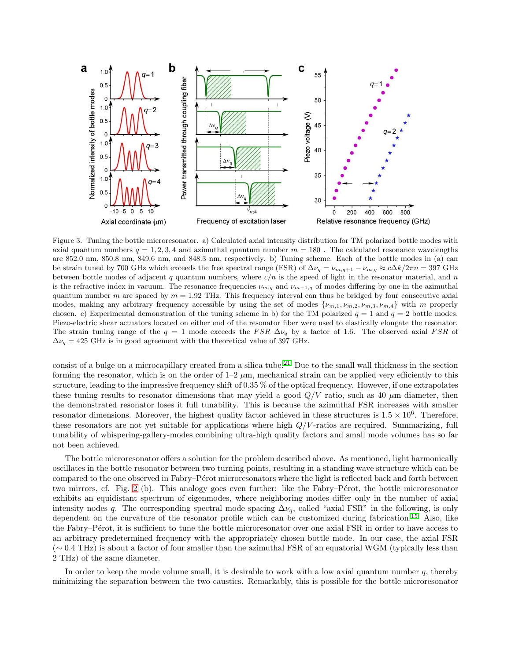

<span id="page-4-0"></span>Figure 3. Tuning the bottle microresonator. a) Calculated axial intensity distribution for TM polarized bottle modes with axial quantum numbers  $q = 1, 2, 3, 4$  and azimuthal quantum number  $m = 180$ . The calculated resonance wavelengths are 852.0 nm, 850.8 nm, 849.6 nm, and 848.3 nm, respectively. b) Tuning scheme. Each of the bottle modes in (a) can be strain tuned by 700 GHz which exceeds the free spectral range (FSR) of  $\Delta \nu_q = \nu_{m,q+1} - \nu_{m,q} \approx c\Delta k/2\pi n = 397$  GHz between bottle modes of adjacent q quantum numbers, where  $c/n$  is the speed of light in the resonator material, and n is the refractive index in vacuum. The resonance frequencies  $\nu_{m,q}$  and  $\nu_{m+1,q}$  of modes differing by one in the azimuthal quantum number m are spaced by  $m = 1.92$  THz. This frequency interval can thus be bridged by four consecutive axial modes, making any arbitrary frequency accessible by using the set of modes  $\{\nu_{m,1}, \nu_{m,2}, \nu_{m,3}, \nu_{m,4}\}$  with m properly chosen. c) Experimental demonstration of the tuning scheme in b) for the TM polarized  $q = 1$  and  $q = 2$  bottle modes. Piezo-electric shear actuators located on either end of the resonator fiber were used to elastically elongate the resonator. The strain tuning range of the  $q = 1$  mode exceeds the FSR  $\Delta \nu_q$  by a factor of 1.6. The observed axial FSR of  $\Delta\nu_q = 425$  GHz is in good agreement with the theoretical value of 397 GHz.

consist of a bulge on a microcapillary created from a silica tube.<sup>[21](#page-10-6)</sup> Due to the small wall thickness in the section forming the resonator, which is on the order of  $1-2 \mu m$ , mechanical strain can be applied very efficiently to this structure, leading to the impressive frequency shift of 0.35 % of the optical frequency. However, if one extrapolates these tuning results to resonator dimensions that may yield a good  $Q/V$  ratio, such as 40  $\mu$ m diameter, then the demonstrated resonator loses it full tunability. This is because the azimuthal FSR increases with smaller resonator dimensions. Moreover, the highest quality factor achieved in these structures is  $1.5 \times 10^6$ . Therefore, these resonators are not yet suitable for applications where high  $Q/V$ -ratios are required. Summarizing, full tunability of whispering-gallery-modes combining ultra-high quality factors and small mode volumes has so far not been achieved.

The bottle microresonator offers a solution for the problem described above. As mentioned, light harmonically oscillates in the bottle resonator between two turning points, resulting in a standing wave structure which can be compared to the one observed in Fabry–Pérot microresonators where the light is reflected back and forth between two mirrors, cf. Fig. [2](#page-2-0) (b). This analogy goes even further: like the Fabry–Pérot, the bottle microresonator exhibits an equidistant spectrum of eigenmodes, where neighboring modes differ only in the number of axial intensity nodes q. The corresponding spectral mode spacing  $\Delta \nu_q$ , called "axial FSR" in the following, is only dependent on the curvature of the resonator profile which can be customized during fabrication.<sup>[15](#page-10-0)</sup> Also, like the Fabry–Pérot, it is sufficient to tune the bottle microresonator over one axial FSR in order to have access to an arbitrary predetermined frequency with the appropriately chosen bottle mode. In our case, the axial FSR (∼ 0.4 THz) is about a factor of four smaller than the azimuthal FSR of an equatorial WGM (typically less than 2 THz) of the same diameter.

In order to keep the mode volume small, it is desirable to work with a low axial quantum number  $q$ , thereby minimizing the separation between the two caustics. Remarkably, this is possible for the bottle microresonator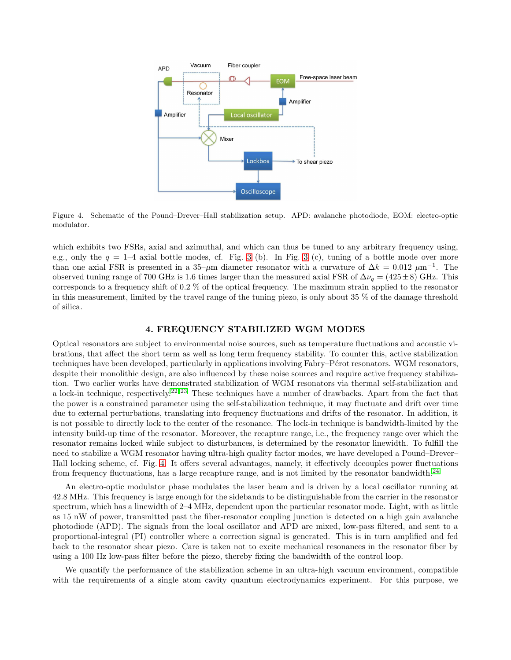

<span id="page-5-1"></span>Figure 4. Schematic of the Pound–Drever–Hall stabilization setup. APD: avalanche photodiode, EOM: electro-optic modulator.

which exhibits two FSRs, axial and azimuthal, and which can thus be tuned to any arbitrary frequency using, e.g., only the  $q = 1-4$  axial bottle modes, cf. Fig. [3](#page-4-0) (b). In Fig. 3 (c), tuning of a bottle mode over more than one axial FSR is presented in a 35–µm diameter resonator with a curvature of  $\Delta k = 0.012 \ \mu m^{-1}$ . The observed tuning range of 700 GHz is 1.6 times larger than the measured axial FSR of  $\Delta \nu_q = (425 \pm 8)$  GHz. This corresponds to a frequency shift of 0.2 % of the optical frequency. The maximum strain applied to the resonator in this measurement, limited by the travel range of the tuning piezo, is only about 35 % of the damage threshold of silica.

# 4. FREQUENCY STABILIZED WGM MODES

<span id="page-5-0"></span>Optical resonators are subject to environmental noise sources, such as temperature fluctuations and acoustic vibrations, that affect the short term as well as long term frequency stability. To counter this, active stabilization techniques have been developed, particularly in applications involving Fabry–Pérot resonators. WGM resonators, despite their monolithic design, are also influenced by these noise sources and require active frequency stabilization. Two earlier works have demonstrated stabilization of WGM resonators via thermal self-stabilization and a lock-in technique, respectively.<sup>[22,](#page-10-7) [23](#page-10-8)</sup> These techniques have a number of drawbacks. Apart from the fact that the power is a constrained parameter using the self-stabilization technique, it may fluctuate and drift over time due to external perturbations, translating into frequency fluctuations and drifts of the resonator. In addition, it is not possible to directly lock to the center of the resonance. The lock-in technique is bandwidth-limited by the intensity build-up time of the resonator. Moreover, the recapture range, i.e., the frequency range over which the resonator remains locked while subject to disturbances, is determined by the resonator linewidth. To fulfill the need to stabilize a WGM resonator having ultra-high quality factor modes, we have developed a Pound–Drever– Hall locking scheme, cf. Fig. [4.](#page-5-1) It offers several advantages, namely, it effectively decouples power fluctuations from frequency fluctuations, has a large recapture range, and is not limited by the resonator bandwidth.<sup>[24](#page-10-9)</sup>

An electro-optic modulator phase modulates the laser beam and is driven by a local oscillator running at 42.8 MHz. This frequency is large enough for the sidebands to be distinguishable from the carrier in the resonator spectrum, which has a linewidth of 2–4 MHz, dependent upon the particular resonator mode. Light, with as little as 15 nW of power, transmitted past the fiber-resonator coupling junction is detected on a high gain avalanche photodiode (APD). The signals from the local oscillator and APD are mixed, low-pass filtered, and sent to a proportional-integral (PI) controller where a correction signal is generated. This is in turn amplified and fed back to the resonator shear piezo. Care is taken not to excite mechanical resonances in the resonator fiber by using a 100 Hz low-pass filter before the piezo, thereby fixing the bandwidth of the control loop.

We quantify the performance of the stabilization scheme in an ultra-high vacuum environment, compatible with the requirements of a single atom cavity quantum electrodynamics experiment. For this purpose, we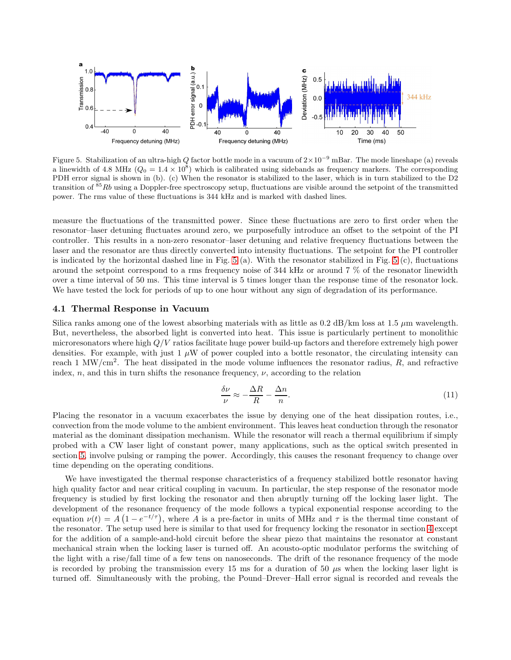

<span id="page-6-0"></span>Figure 5. Stabilization of an ultra-high Q factor bottle mode in a vacuum of  $2\times10^{-9}$  mBar. The mode lineshape (a) reveals a linewidth of 4.8 MHz  $(Q_0 = 1.4 \times 10^8)$  which is calibrated using sidebands as frequency markers. The corresponding PDH error signal is shown in (b). (c) When the resonator is stabilized to the laser, which is in turn stabilized to the D2 transition of  ${}^{85}Rb$  using a Doppler-free spectroscopy setup, fluctuations are visible around the setpoint of the transmitted power. The rms value of these fluctuations is 344 kHz and is marked with dashed lines.

measure the fluctuations of the transmitted power. Since these fluctuations are zero to first order when the resonator–laser detuning fluctuates around zero, we purposefully introduce an offset to the setpoint of the PI controller. This results in a non-zero resonator–laser detuning and relative frequency fluctuations between the laser and the resonator are thus directly converted into intensity fluctuations. The setpoint for the PI controller is indicated by the horizontal dashed line in Fig. [5](#page-6-0) (a). With the resonator stabilized in Fig. [5](#page-6-0) (c), fluctuations around the setpoint correspond to a rms frequency noise of 344 kHz or around 7 % of the resonator linewidth over a time interval of 50 ms. This time interval is 5 times longer than the response time of the resonator lock. We have tested the lock for periods of up to one hour without any sign of degradation of its performance.

#### 4.1 Thermal Response in Vacuum

Silica ranks among one of the lowest absorbing materials with as little as  $0.2 \text{ dB/km}$  loss at  $1.5 \mu \text{m}$  wavelength. But, nevertheless, the absorbed light is converted into heat. This issue is particularly pertinent to monolithic microresonators where high  $Q/V$  ratios facilitate huge power build-up factors and therefore extremely high power densities. For example, with just  $1 \mu W$  of power coupled into a bottle resonator, the circulating intensity can reach 1 MW/cm<sup>2</sup>. The heat dissipated in the mode volume influences the resonator radius, R, and refractive index, n, and this in turn shifts the resonance frequency,  $\nu$ , according to the relation

$$
\frac{\delta \nu}{\nu} \approx -\frac{\Delta R}{R} - \frac{\Delta n}{n}.\tag{11}
$$

Placing the resonator in a vacuum exacerbates the issue by denying one of the heat dissipation routes, i.e., convection from the mode volume to the ambient environment. This leaves heat conduction through the resonator material as the dominant dissipation mechanism. While the resonator will reach a thermal equilibrium if simply probed with a CW laser light of constant power, many applications, such as the optical switch presented in section [5,](#page-7-0) involve pulsing or ramping the power. Accordingly, this causes the resonant frequency to change over time depending on the operating conditions.

We have investigated the thermal response characteristics of a frequency stabilized bottle resonator having high quality factor and near critical coupling in vacuum. In particular, the step response of the resonator mode frequency is studied by first locking the resonator and then abruptly turning off the locking laser light. The development of the resonance frequency of the mode follows a typical exponential response according to the equation  $\nu(t) = A(1 - e^{-t/\tau})$ , where A is a pre-factor in units of MHz and  $\tau$  is the thermal time constant of the resonator. The setup used here is similar to that used for frequency locking the resonator in section [4](#page-5-0) except for the addition of a sample-and-hold circuit before the shear piezo that maintains the resonator at constant mechanical strain when the locking laser is turned off. An acousto-optic modulator performs the switching of the light with a rise/fall time of a few tens on nanoseconds. The drift of the resonance frequency of the mode is recorded by probing the transmission every 15 ms for a duration of 50  $\mu$ s when the locking laser light is turned off. Simultaneously with the probing, the Pound–Drever–Hall error signal is recorded and reveals the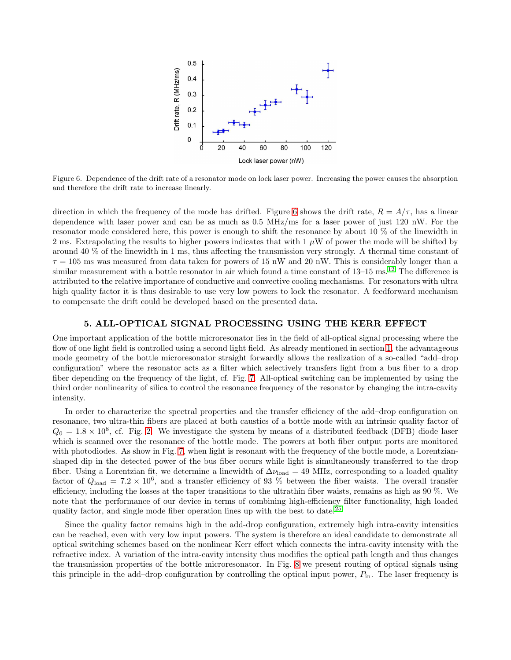

<span id="page-7-1"></span>Figure 6. Dependence of the drift rate of a resonator mode on lock laser power. Increasing the power causes the absorption and therefore the drift rate to increase linearly.

direction in which the frequency of the mode has drifted. Figure [6](#page-7-1) shows the drift rate,  $R = A/\tau$ , has a linear dependence with laser power and can be as much as 0.5 MHz/ms for a laser power of just 120 nW. For the resonator mode considered here, this power is enough to shift the resonance by about 10 % of the linewidth in 2 ms. Extrapolating the results to higher powers indicates that with  $1 \mu W$  of power the mode will be shifted by around 40 % of the linewidth in 1 ms, thus affecting the transmission very strongly. A thermal time constant of  $\tau = 105$  ms was measured from data taken for powers of 15 nW and 20 nW. This is considerably longer than a similar measurement with a bottle resonator in air which found a time constant of  $13-15$  ms.<sup>[12](#page-9-10)</sup> The difference is attributed to the relative importance of conductive and convective cooling mechanisms. For resonators with ultra high quality factor it is thus desirable to use very low powers to lock the resonator. A feedforward mechanism to compensate the drift could be developed based on the presented data.

## 5. ALL-OPTICAL SIGNAL PROCESSING USING THE KERR EFFECT

<span id="page-7-0"></span>One important application of the bottle microresonator lies in the field of all-optical signal processing where the flow of one light field is controlled using a second light field. As already mentioned in section [1,](#page-0-0) the advantageous mode geometry of the bottle microresonator straight forwardly allows the realization of a so-called "add–drop configuration" where the resonator acts as a filter which selectively transfers light from a bus fiber to a drop fiber depending on the frequency of the light, cf. Fig. [7.](#page-8-0) All-optical switching can be implemented by using the third order nonlinearity of silica to control the resonance frequency of the resonator by changing the intra-cavity intensity.

In order to characterize the spectral properties and the transfer efficiency of the add–drop configuration on resonance, two ultra-thin fibers are placed at both caustics of a bottle mode with an intrinsic quality factor of  $Q_0 = 1.8 \times 10^8$ , cf. Fig. [2.](#page-2-0) We investigate the system by means of a distributed feedback (DFB) diode laser which is scanned over the resonance of the bottle mode. The powers at both fiber output ports are monitored with photodiodes. As show in Fig. [7,](#page-8-0) when light is resonant with the frequency of the bottle mode, a Lorentzianshaped dip in the detected power of the bus fiber occurs while light is simultaneously transferred to the drop fiber. Using a Lorentzian fit, we determine a linewidth of  $\Delta \nu_{\rm load} = 49$  MHz, corresponding to a loaded quality factor of  $Q_{load} = 7.2 \times 10^6$ , and a transfer efficiency of 93 % between the fiber waists. The overall transfer efficiency, including the losses at the taper transitions to the ultrathin fiber waists, remains as high as 90 %. We note that the performance of our device in terms of combining high-efficiency filter functionality, high loaded quality factor, and single mode fiber operation lines up with the best to date.[25](#page-10-10)

Since the quality factor remains high in the add-drop configuration, extremely high intra-cavity intensities can be reached, even with very low input powers. The system is therefore an ideal candidate to demonstrate all optical switching schemes based on the nonlinear Kerr effect which connects the intra-cavity intensity with the refractive index. A variation of the intra-cavity intensity thus modifies the optical path length and thus changes the transmission properties of the bottle microresonator. In Fig. [8](#page-8-1) we present routing of optical signals using this principle in the add–drop configuration by controlling the optical input power,  $P_{\text{in}}$ . The laser frequency is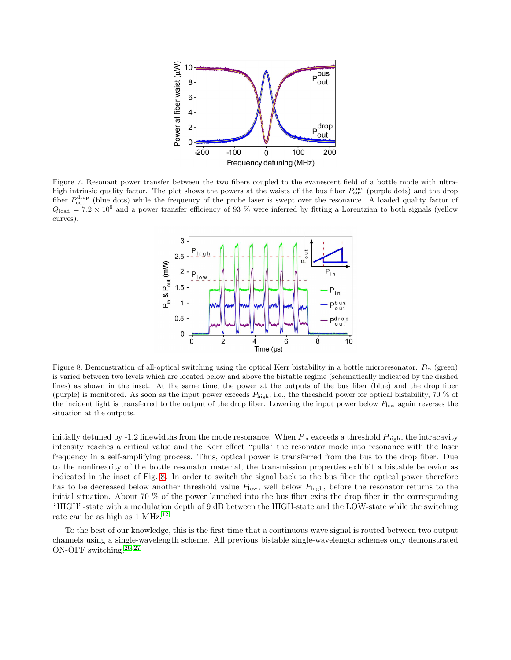

<span id="page-8-0"></span>Figure 7. Resonant power transfer between the two fibers coupled to the evanescent field of a bottle mode with ultrahigh intrinsic quality factor. The plot shows the powers at the waists of the bus fiber  $P_{\text{out}}^{\text{bus}}$  (purple dots) and the drop fiber  $P_{\text{out}}^{\text{drop}}$  (blue dots) while the frequency of the probe laser is swept over the resonance. A loaded quality factor of  $Q_{\text{load}} = 7.2 \times 10^6$  and a power transfer efficiency of 93 % were inferred by fitting a Lorentzian to both signals (yellow curves).



<span id="page-8-1"></span>Figure 8. Demonstration of all-optical switching using the optical Kerr bistability in a bottle microresonator.  $P_{\text{in}}$  (green) is varied between two levels which are located below and above the bistable regime (schematically indicated by the dashed lines) as shown in the inset. At the same time, the power at the outputs of the bus fiber (blue) and the drop fiber (purple) is monitored. As soon as the input power exceeds  $P_{\text{high}}$ , i.e., the threshold power for optical bistability, 70 % of the incident light is transferred to the output of the drop fiber. Lowering the input power below  $P_{\text{low}}$  again reverses the situation at the outputs.

initially detuned by -1.2 linewidths from the mode resonance. When  $P_{\text{in}}$  exceeds a threshold  $P_{\text{high}}$ , the intracavity intensity reaches a critical value and the Kerr effect "pulls" the resonator mode into resonance with the laser frequency in a self-amplifying process. Thus, optical power is transferred from the bus to the drop fiber. Due to the nonlinearity of the bottle resonator material, the transmission properties exhibit a bistable behavior as indicated in the inset of Fig. [8.](#page-8-1) In order to switch the signal back to the bus fiber the optical power therefore has to be decreased below another threshold value  $P_{\text{low}}$ , well below  $P_{\text{high}}$ , before the resonator returns to the initial situation. About 70 % of the power launched into the bus fiber exits the drop fiber in the corresponding "HIGH"-state with a modulation depth of 9 dB between the HIGH-state and the LOW-state while the switching rate can be as high as  $1 \text{ MHz}$ .<sup>[12](#page-9-10)</sup>

To the best of our knowledge, this is the first time that a continuous wave signal is routed between two output channels using a single-wavelength scheme. All previous bistable single-wavelength schemes only demonstrated ON-OFF switching. $26, 27$  $26, 27$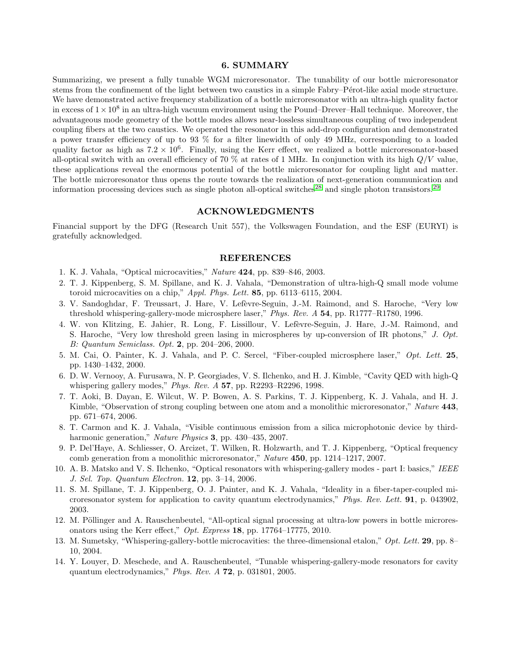## 6. SUMMARY

Summarizing, we present a fully tunable WGM microresonator. The tunability of our bottle microresonator stems from the confinement of the light between two caustics in a simple Fabry–Pérot-like axial mode structure. We have demonstrated active frequency stabilization of a bottle microresonator with an ultra-high quality factor in excess of  $1 \times 10^8$  in an ultra-high vacuum environment using the Pound–Drever–Hall technique. Moreover, the advantageous mode geometry of the bottle modes allows near-lossless simultaneous coupling of two independent coupling fibers at the two caustics. We operated the resonator in this add-drop configuration and demonstrated a power transfer efficiency of up to 93 % for a filter linewidth of only 49 MHz, corresponding to a loaded quality factor as high as  $7.2 \times 10^6$ . Finally, using the Kerr effect, we realized a bottle microresonator-based all-optical switch with an overall efficiency of 70 % at rates of 1 MHz. In conjunction with its high  $Q/V$  value, these applications reveal the enormous potential of the bottle microresonator for coupling light and matter. The bottle microresonator thus opens the route towards the realization of next-generation communication and information processing devices such as single photon all-optical switches<sup>[28](#page-10-13)</sup> and single photon transistors.<sup>[29](#page-10-14)</sup>

# ACKNOWLEDGMENTS

Financial support by the DFG (Research Unit 557), the Volkswagen Foundation, and the ESF (EURYI) is gratefully acknowledged.

## REFERENCES

- <span id="page-9-1"></span><span id="page-9-0"></span>1. K. J. Vahala, "Optical microcavities," *Nature* 424, pp. 839–846, 2003.
- 2. T. J. Kippenberg, S. M. Spillane, and K. J. Vahala, "Demonstration of ultra-high-Q small mode volume toroid microcavities on a chip," *Appl. Phys. Lett.* 85, pp. 6113–6115, 2004.
- <span id="page-9-2"></span>3. V. Sandoghdar, F. Treussart, J. Hare, V. Lefèvre-Seguin, J.-M. Raimond, and S. Haroche, "Very low threshold whispering-gallery-mode microsphere laser," *Phys. Rev. A* 54, pp. R1777–R1780, 1996.
- 4. W. von Klitzing, E. Jahier, R. Long, F. Lissillour, V. Lefèvre-Seguin, J. Hare, J.-M. Raimond, and S. Haroche, "Very low threshold green lasing in microspheres by up-conversion of IR photons," *J. Opt. B: Quantum Semiclass. Opt.* 2, pp. 204–206, 2000.
- <span id="page-9-3"></span>5. M. Cai, O. Painter, K. J. Vahala, and P. C. Sercel, "Fiber-coupled microsphere laser," *Opt. Lett.* 25, pp. 1430–1432, 2000.
- <span id="page-9-4"></span>6. D. W. Vernooy, A. Furusawa, N. P. Georgiades, V. S. Ilchenko, and H. J. Kimble, "Cavity QED with high-Q whispering gallery modes," *Phys. Rev. A* 57, pp. R2293–R2296, 1998.
- <span id="page-9-5"></span>7. T. Aoki, B. Dayan, E. Wilcut, W. P. Bowen, A. S. Parkins, T. J. Kippenberg, K. J. Vahala, and H. J. Kimble, "Observation of strong coupling between one atom and a monolithic microresonator," *Nature* 443, pp. 671–674, 2006.
- <span id="page-9-6"></span>8. T. Carmon and K. J. Vahala, "Visible continuous emission from a silica microphotonic device by thirdharmonic generation," *Nature Physics* 3, pp. 430–435, 2007.
- <span id="page-9-7"></span>9. P. Del'Haye, A. Schliesser, O. Arcizet, T. Wilken, R. Holzwarth, and T. J. Kippenberg, "Optical frequency comb generation from a monolithic microresonator," *Nature* 450, pp. 1214–1217, 2007.
- <span id="page-9-8"></span>10. A. B. Matsko and V. S. Ilchenko, "Optical resonators with whispering-gallery modes - part I: basics," *IEEE J. Sel. Top. Quantum Electron.* 12, pp. 3–14, 2006.
- <span id="page-9-9"></span>11. S. M. Spillane, T. J. Kippenberg, O. J. Painter, and K. J. Vahala, "Ideality in a fiber-taper-coupled microresonator system for application to cavity quantum electrodynamics," *Phys. Rev. Lett.* 91, p. 043902, 2003.
- <span id="page-9-10"></span>12. M. Pöllinger and A. Rauschenbeutel, "All-optical signal processing at ultra-low powers in bottle microresonators using the Kerr effect," *Opt. Express* 18, pp. 17764–17775, 2010.
- <span id="page-9-11"></span>13. M. Sumetsky, "Whispering-gallery-bottle microcavities: the three-dimensional etalon," *Opt. Lett.* 29, pp. 8– 10, 2004.
- <span id="page-9-12"></span>14. Y. Louyer, D. Meschede, and A. Rauschenbeutel, "Tunable whispering-gallery-mode resonators for cavity quantum electrodynamics," *Phys. Rev. A* 72, p. 031801, 2005.